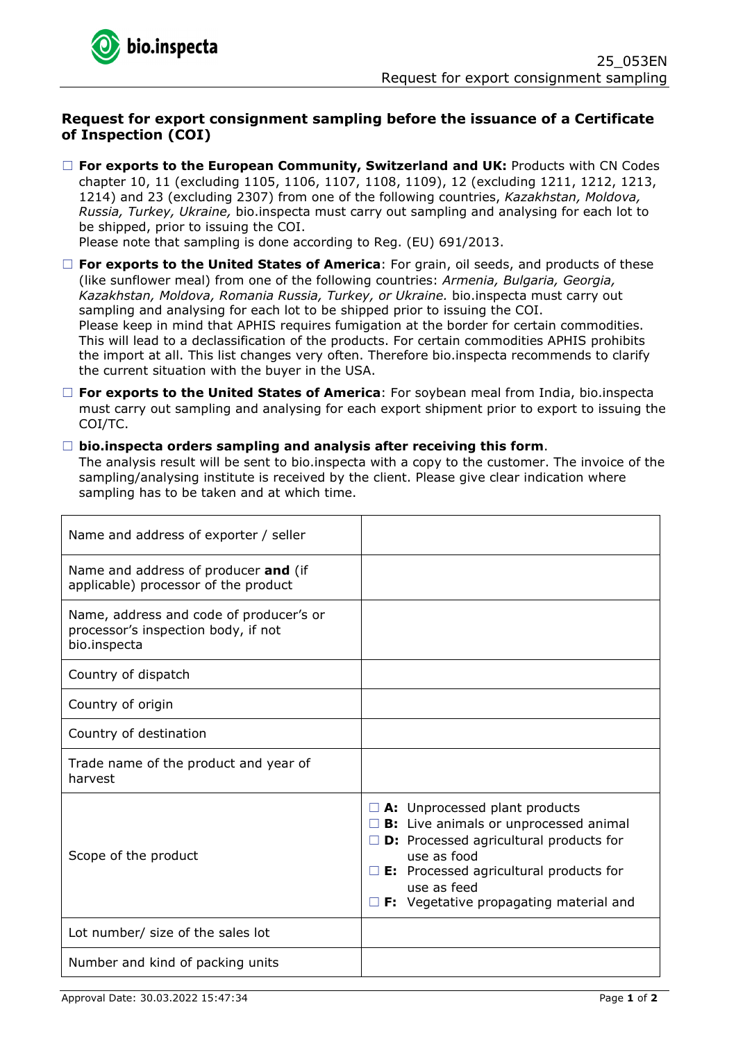## **Request for export consignment sampling before the issuance of a Certificate of Inspection (COI)**

□ **For exports to the European Community, Switzerland and UK:** Products with CN Codes chapter 10, 11 (excluding 1105, 1106, 1107, 1108, 1109), 12 (excluding 1211, 1212, 1213, 1214) and 23 (excluding 2307) from one of the following countries, *Kazakhstan, Moldova, Russia, Turkey, Ukraine,* bio.inspecta must carry out sampling and analysing for each lot to be shipped, prior to issuing the COI.

Please note that sampling is done according to Reg. (EU) 691/2013.

- ☐ **For exports to the United States of America**: For grain, oil seeds, and products of these (like sunflower meal) from one of the following countries: *Armenia, Bulgaria, Georgia, Kazakhstan, Moldova, Romania Russia, Turkey, or Ukraine.* bio.inspecta must carry out sampling and analysing for each lot to be shipped prior to issuing the COI. Please keep in mind that APHIS requires fumigation at the border for certain commodities. This will lead to a declassification of the products. For certain commodities APHIS prohibits the import at all. This list changes very often. Therefore bio.inspecta recommends to clarify the current situation with the buyer in the USA.
- ☐ **For exports to the United States of America**: For soybean meal from India, bio.inspecta must carry out sampling and analysing for each export shipment prior to export to issuing the COI/TC.

## ☐ **bio.inspecta orders sampling and analysis after receiving this form**.

The analysis result will be sent to bio.inspecta with a copy to the customer. The invoice of the sampling/analysing institute is received by the client. Please give clear indication where sampling has to be taken and at which time.

| Name and address of exporter / seller                                                          |                                                                                                                                                                                                                                                                   |
|------------------------------------------------------------------------------------------------|-------------------------------------------------------------------------------------------------------------------------------------------------------------------------------------------------------------------------------------------------------------------|
| Name and address of producer and (if<br>applicable) processor of the product                   |                                                                                                                                                                                                                                                                   |
| Name, address and code of producer's or<br>processor's inspection body, if not<br>bio.inspecta |                                                                                                                                                                                                                                                                   |
| Country of dispatch                                                                            |                                                                                                                                                                                                                                                                   |
| Country of origin                                                                              |                                                                                                                                                                                                                                                                   |
| Country of destination                                                                         |                                                                                                                                                                                                                                                                   |
| Trade name of the product and year of<br>harvest                                               |                                                                                                                                                                                                                                                                   |
| Scope of the product                                                                           | $\Box$ A: Unprocessed plant products<br>B: Live animals or unprocessed animal<br><b>D:</b> Processed agricultural products for<br>use as food<br>$\square$ E: Processed agricultural products for<br>use as feed<br>$\Box$ F: Vegetative propagating material and |
| Lot number/ size of the sales lot                                                              |                                                                                                                                                                                                                                                                   |
| Number and kind of packing units                                                               |                                                                                                                                                                                                                                                                   |